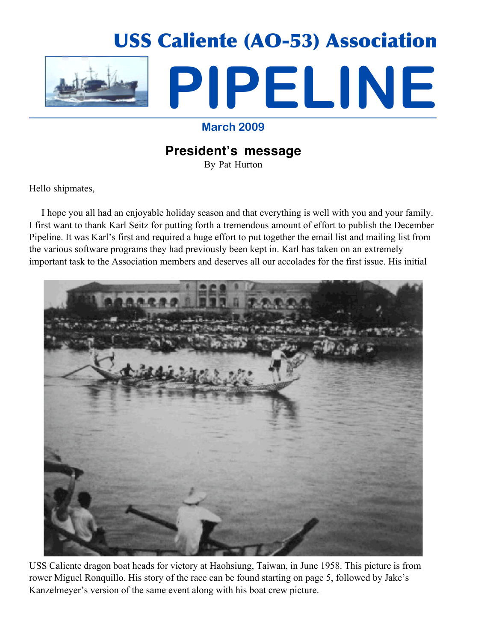

# **March 2009**

# **President's message**

By Pat Hurton

Hello shipmates,

 I hope you all had an enjoyable holiday season and that everything is well with you and your family. I first want to thank Karl Seitz for putting forth a tremendous amount of effort to publish the December Pipeline. It was Karl's first and required a huge effort to put together the email list and mailing list from the various software programs they had previously been kept in. Karl has taken on an extremely important task to the Association members and deserves all our accolades for the first issue. His initial



USS Caliente dragon boat heads for victory at Haohsiung, Taiwan, in June 1958. This picture is from rower Miguel Ronquillo. His story of the race can be found starting on page 5, followed by Jake's Kanzelmeyer's version of the same event along with his boat crew picture.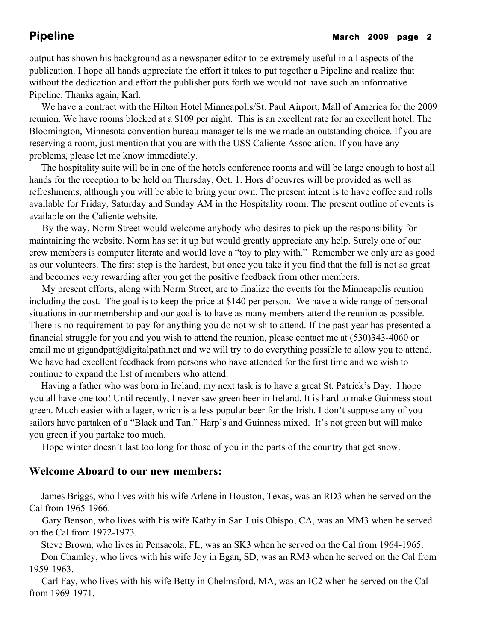# **Pipeline** March 2009 page 2

output has shown his background as a newspaper editor to be extremely useful in all aspects of the publication. I hope all hands appreciate the effort it takes to put together a Pipeline and realize that without the dedication and effort the publisher puts forth we would not have such an informative Pipeline. Thanks again, Karl.

 We have a contract with the Hilton Hotel Minneapolis/St. Paul Airport, Mall of America for the 2009 reunion. We have rooms blocked at a \$109 per night. This is an excellent rate for an excellent hotel. The Bloomington, Minnesota convention bureau manager tells me we made an outstanding choice. If you are reserving a room, just mention that you are with the USS Caliente Association. If you have any problems, please let me know immediately.

 The hospitality suite will be in one of the hotels conference rooms and will be large enough to host all hands for the reception to be held on Thursday, Oct. 1. Hors d'oeuvres will be provided as well as refreshments, although you will be able to bring your own. The present intent is to have coffee and rolls available for Friday, Saturday and Sunday AM in the Hospitality room. The present outline of events is available on the Caliente website.

 By the way, Norm Street would welcome anybody who desires to pick up the responsibility for maintaining the website. Norm has set it up but would greatly appreciate any help. Surely one of our crew members is computer literate and would love a "toy to play with." Remember we only are as good as our volunteers. The first step is the hardest, but once you take it you find that the fall is not so great and becomes very rewarding after you get the positive feedback from other members.

 My present efforts, along with Norm Street, are to finalize the events for the Minneapolis reunion including the cost. The goal is to keep the price at \$140 per person. We have a wide range of personal situations in our membership and our goal is to have as many members attend the reunion as possible. There is no requirement to pay for anything you do not wish to attend. If the past year has presented a financial struggle for you and you wish to attend the reunion, please contact me at (530)343-4060 or email me at gigandpat@digitalpath.net and we will try to do everything possible to allow you to attend. We have had excellent feedback from persons who have attended for the first time and we wish to continue to expand the list of members who attend.

 Having a father who was born in Ireland, my next task is to have a great St. Patrick's Day. I hope you all have one too! Until recently, I never saw green beer in Ireland. It is hard to make Guinness stout green. Much easier with a lager, which is a less popular beer for the Irish. I don't suppose any of you sailors have partaken of a "Black and Tan." Harp's and Guinness mixed. It's not green but will make you green if you partake too much.

Hope winter doesn't last too long for those of you in the parts of the country that get snow.

# **Welcome Aboard to our new members:**

 James Briggs, who lives with his wife Arlene in Houston, Texas, was an RD3 when he served on the Cal from 1965-1966.

 Gary Benson, who lives with his wife Kathy in San Luis Obispo, CA, was an MM3 when he served on the Cal from 1972-1973.

 Steve Brown, who lives in Pensacola, FL, was an SK3 when he served on the Cal from 1964-1965. Don Chamley, who lives with his wife Joy in Egan, SD, was an RM3 when he served on the Cal from 1959-1963.

 Carl Fay, who lives with his wife Betty in Chelmsford, MA, was an IC2 when he served on the Cal from 1969-1971.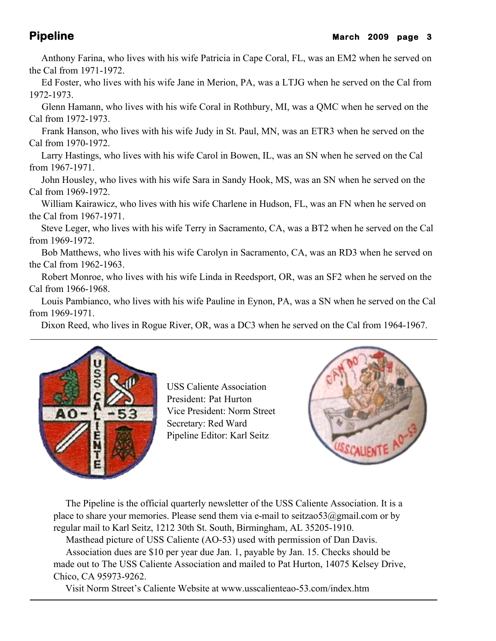Anthony Farina, who lives with his wife Patricia in Cape Coral, FL, was an EM2 when he served on the Cal from 1971-1972.

 Ed Foster, who lives with his wife Jane in Merion, PA, was a LTJG when he served on the Cal from 1972-1973.

 Glenn Hamann, who lives with his wife Coral in Rothbury, MI, was a QMC when he served on the Cal from 1972-1973.

 Frank Hanson, who lives with his wife Judy in St. Paul, MN, was an ETR3 when he served on the Cal from 1970-1972.

 Larry Hastings, who lives with his wife Carol in Bowen, IL, was an SN when he served on the Cal from 1967-1971.

 John Housley, who lives with his wife Sara in Sandy Hook, MS, was an SN when he served on the Cal from 1969-1972.

 William Kairawicz, who lives with his wife Charlene in Hudson, FL, was an FN when he served on the Cal from 1967-1971.

 Steve Leger, who lives with his wife Terry in Sacramento, CA, was a BT2 when he served on the Cal from 1969-1972.

 Bob Matthews, who lives with his wife Carolyn in Sacramento, CA, was an RD3 when he served on the Cal from 1962-1963.

 Robert Monroe, who lives with his wife Linda in Reedsport, OR, was an SF2 when he served on the Cal from 1966-1968.

 Louis Pambianco, who lives with his wife Pauline in Eynon, PA, was a SN when he served on the Cal from 1969-1971.

Dixon Reed, who lives in Rogue River, OR, was a DC3 when he served on the Cal from 1964-1967.



USS Caliente Association President: Pat Hurton Vice President: Norm Street Secretary: Red Ward Pipeline Editor: Karl Seitz



 The Pipeline is the official quarterly newsletter of the USS Caliente Association. It is a place to share your memories. Please send them via e-mail to seitzao53@gmail.com or by regular mail to Karl Seitz, 1212 30th St. South, Birmingham, AL 35205-1910.

Masthead picture of USS Caliente (AO-53) used with permission of Dan Davis.

 Association dues are \$10 per year due Jan. 1, payable by Jan. 15. Checks should be made out to The USS Caliente Association and mailed to Pat Hurton, 14075 Kelsey Drive, Chico, CA 95973-9262.

Visit Norm Street's Caliente Website at www.usscalienteao-53.com/index.htm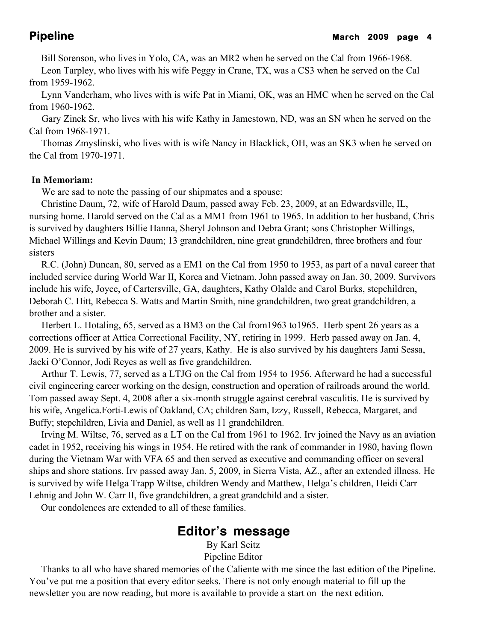Bill Sorenson, who lives in Yolo, CA, was an MR2 when he served on the Cal from 1966-1968.

 Leon Tarpley, who lives with his wife Peggy in Crane, TX, was a CS3 when he served on the Cal from 1959-1962.

 Lynn Vanderham, who lives with is wife Pat in Miami, OK, was an HMC when he served on the Cal from 1960-1962.

 Gary Zinck Sr, who lives with his wife Kathy in Jamestown, ND, was an SN when he served on the Cal from 1968-1971.

 Thomas Zmyslinski, who lives with is wife Nancy in Blacklick, OH, was an SK3 when he served on the Cal from 1970-1971.

# **In Memoriam:**

We are sad to note the passing of our shipmates and a spouse:

 Christine Daum, 72, wife of Harold Daum, passed away Feb. 23, 2009, at an Edwardsville, IL, nursing home. Harold served on the Cal as a MM1 from 1961 to 1965. In addition to her husband, Chris is survived by daughters Billie Hanna, Sheryl Johnson and Debra Grant; sons Christopher Willings, Michael Willings and Kevin Daum; 13 grandchildren, nine great grandchildren, three brothers and four sisters

 R.C. (John) Duncan, 80, served as a EM1 on the Cal from 1950 to 1953, as part of a naval career that included service during World War II, Korea and Vietnam. John passed away on Jan. 30, 2009. Survivors include his wife, Joyce, of Cartersville, GA, daughters, Kathy Olalde and Carol Burks, stepchildren, Deborah C. Hitt, Rebecca S. Watts and Martin Smith, nine grandchildren, two great grandchildren, a brother and a sister.

 Herbert L. Hotaling, 65, served as a BM3 on the Cal from1963 to1965. Herb spent 26 years as a corrections officer at Attica Correctional Facility, NY, retiring in 1999. Herb passed away on Jan. 4, 2009. He is survived by his wife of 27 years, Kathy. He is also survived by his daughters Jami Sessa, Jacki O'Connor, Jodi Reyes as well as five grandchildren.

 Arthur T. Lewis, 77, served as a LTJG on the Cal from 1954 to 1956. Afterward he had a successful civil engineering career working on the design, construction and operation of railroads around the world. Tom passed away Sept. 4, 2008 after a six-month struggle against cerebral vasculitis. He is survived by his wife, Angelica.Forti-Lewis of Oakland, CA; children Sam, Izzy, Russell, Rebecca, Margaret, and Buffy; stepchildren, Livia and Daniel, as well as 11 grandchildren.

 Irving M. Wiltse, 76, served as a LT on the Cal from 1961 to 1962. Irv joined the Navy as an aviation cadet in 1952, receiving his wings in 1954. He retired with the rank of commander in 1980, having flown during the Vietnam War with VFA 65 and then served as executive and commanding officer on several ships and shore stations. Irv passed away Jan. 5, 2009, in Sierra Vista, AZ., after an extended illness. He is survived by wife Helga Trapp Wiltse, children Wendy and Matthew, Helga's children, Heidi Carr Lehnig and John W. Carr II, five grandchildren, a great grandchild and a sister.

Our condolences are extended to all of these families.

# **Editor's message**

By Karl Seitz Pipeline Editor

 Thanks to all who have shared memories of the Caliente with me since the last edition of the Pipeline. You've put me a position that every editor seeks. There is not only enough material to fill up the newsletter you are now reading, but more is available to provide a start on the next edition.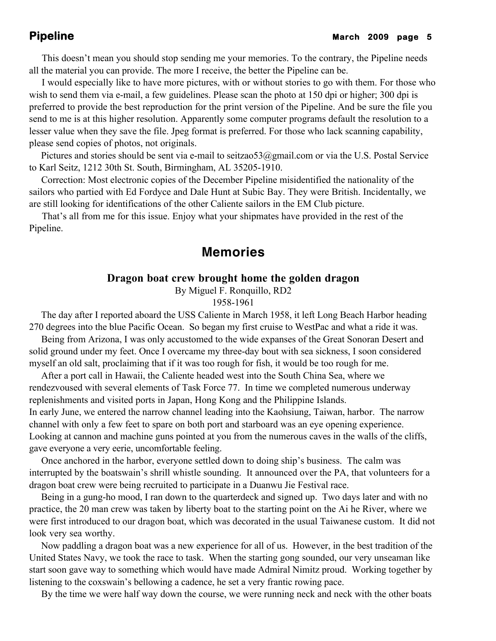This doesn't mean you should stop sending me your memories. To the contrary, the Pipeline needs all the material you can provide. The more I receive, the better the Pipeline can be.

 I would especially like to have more pictures, with or without stories to go with them. For those who wish to send them via e-mail, a few guidelines. Please scan the photo at 150 dpi or higher; 300 dpi is preferred to provide the best reproduction for the print version of the Pipeline. And be sure the file you send to me is at this higher resolution. Apparently some computer programs default the resolution to a lesser value when they save the file. Jpeg format is preferred. For those who lack scanning capability, please send copies of photos, not originals.

Pictures and stories should be sent via e-mail to seitzao53@gmail.com or via the U.S. Postal Service to Karl Seitz, 1212 30th St. South, Birmingham, AL 35205-1910.

 Correction: Most electronic copies of the December Pipeline misidentified the nationality of the sailors who partied with Ed Fordyce and Dale Hunt at Subic Bay. They were British. Incidentally, we are still looking for identifications of the other Caliente sailors in the EM Club picture.

 That's all from me for this issue. Enjoy what your shipmates have provided in the rest of the Pipeline.

# **Memories**

# **Dragon boat crew brought home the golden dragon**

By Miguel F. Ronquillo, RD2

1958-1961

 The day after I reported aboard the USS Caliente in March 1958, it left Long Beach Harbor heading 270 degrees into the blue Pacific Ocean. So began my first cruise to WestPac and what a ride it was.

 Being from Arizona, I was only accustomed to the wide expanses of the Great Sonoran Desert and solid ground under my feet. Once I overcame my three-day bout with sea sickness, I soon considered myself an old salt, proclaiming that if it was too rough for fish, it would be too rough for me.

 After a port call in Hawaii, the Caliente headed west into the South China Sea, where we rendezvoused with several elements of Task Force 77. In time we completed numerous underway replenishments and visited ports in Japan, Hong Kong and the Philippine Islands. In early June, we entered the narrow channel leading into the Kaohsiung, Taiwan, harbor. The narrow channel with only a few feet to spare on both port and starboard was an eye opening experience. Looking at cannon and machine guns pointed at you from the numerous caves in the walls of the cliffs, gave everyone a very eerie, uncomfortable feeling.

 Once anchored in the harbor, everyone settled down to doing ship's business. The calm was interrupted by the boatswain's shrill whistle sounding. It announced over the PA, that volunteers for a dragon boat crew were being recruited to participate in a Duanwu Jie Festival race.

 Being in a gung-ho mood, I ran down to the quarterdeck and signed up. Two days later and with no practice, the 20 man crew was taken by liberty boat to the starting point on the Ai he River, where we were first introduced to our dragon boat, which was decorated in the usual Taiwanese custom. It did not look very sea worthy.

 Now paddling a dragon boat was a new experience for all of us. However, in the best tradition of the United States Navy, we took the race to task. When the starting gong sounded, our very unseaman like start soon gave way to something which would have made Admiral Nimitz proud. Working together by listening to the coxswain's bellowing a cadence, he set a very frantic rowing pace.

By the time we were half way down the course, we were running neck and neck with the other boats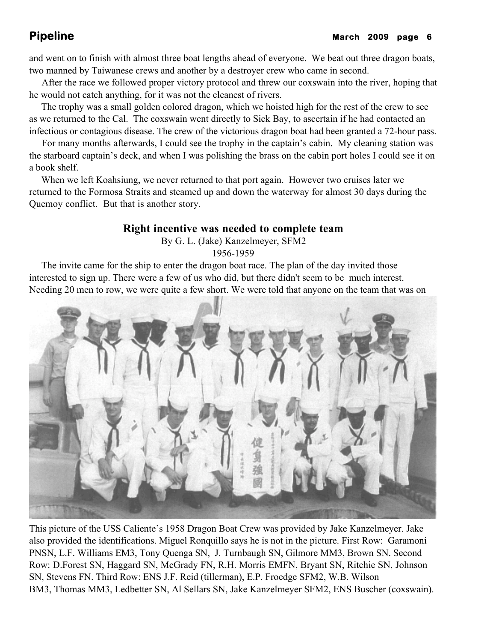and went on to finish with almost three boat lengths ahead of everyone. We beat out three dragon boats, two manned by Taiwanese crews and another by a destroyer crew who came in second.

 After the race we followed proper victory protocol and threw our coxswain into the river, hoping that he would not catch anything, for it was not the cleanest of rivers.

 The trophy was a small golden colored dragon, which we hoisted high for the rest of the crew to see as we returned to the Cal. The coxswain went directly to Sick Bay, to ascertain if he had contacted an infectious or contagious disease. The crew of the victorious dragon boat had been granted a 72-hour pass.

 For many months afterwards, I could see the trophy in the captain's cabin. My cleaning station was the starboard captain's deck, and when I was polishing the brass on the cabin port holes I could see it on a book shelf.

 When we left Koahsiung, we never returned to that port again. However two cruises later we returned to the Formosa Straits and steamed up and down the waterway for almost 30 days during the Quemoy conflict. But that is another story.

# **Right incentive was needed to complete team**

By G. L. (Jake) Kanzelmeyer, SFM2

1956-1959

 The invite came for the ship to enter the dragon boat race. The plan of the day invited those interested to sign up. There were a few of us who did, but there didn't seem to be much interest. Needing 20 men to row, we were quite a few short. We were told that anyone on the team that was on



This picture of the USS Caliente's 1958 Dragon Boat Crew was provided by Jake Kanzelmeyer. Jake also provided the identifications. Miguel Ronquillo says he is not in the picture. First Row: Garamoni PNSN, L.F. Williams EM3, Tony Quenga SN, J. Turnbaugh SN, Gilmore MM3, Brown SN. Second Row: D.Forest SN, Haggard SN, McGrady FN, R.H. Morris EMFN, Bryant SN, Ritchie SN, Johnson SN, Stevens FN. Third Row: ENS J.F. Reid (tillerman), E.P. Froedge SFM2, W.B. Wilson BM3, Thomas MM3, Ledbetter SN, Al Sellars SN, Jake Kanzelmeyer SFM2, ENS Buscher (coxswain).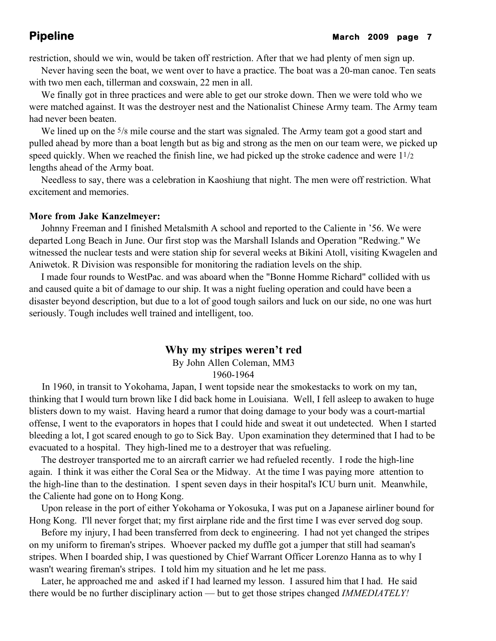restriction, should we win, would be taken off restriction. After that we had plenty of men sign up.

 Never having seen the boat, we went over to have a practice. The boat was a 20-man canoe. Ten seats with two men each, tillerman and coxswain, 22 men in all.

 We finally got in three practices and were able to get our stroke down. Then we were told who we were matched against. It was the destroyer nest and the Nationalist Chinese Army team. The Army team had never been beaten.

We lined up on the <sup>5</sup>/8 mile course and the start was signaled. The Army team got a good start and pulled ahead by more than a boat length but as big and strong as the men on our team were, we picked up speed quickly. When we reached the finish line, we had picked up the stroke cadence and were 11/2 lengths ahead of the Army boat.

 Needless to say, there was a celebration in Kaoshiung that night. The men were off restriction. What excitement and memories.

## **More from Jake Kanzelmeyer:**

 Johnny Freeman and I finished Metalsmith A school and reported to the Caliente in '56. We were departed Long Beach in June. Our first stop was the Marshall Islands and Operation "Redwing." We witnessed the nuclear tests and were station ship for several weeks at Bikini Atoll, visiting Kwagelen and Aniwetok. R Division was responsible for monitoring the radiation levels on the ship.

 I made four rounds to WestPac. and was aboard when the "Bonne Homme Richard" collided with us and caused quite a bit of damage to our ship. It was a night fueling operation and could have been a disaster beyond description, but due to a lot of good tough sailors and luck on our side, no one was hurt seriously. Tough includes well trained and intelligent, too.

## **Why my stripes weren't red**

By John Allen Coleman, MM3 1960-1964

 In 1960, in transit to Yokohama, Japan, I went topside near the smokestacks to work on my tan, thinking that I would turn brown like I did back home in Louisiana. Well, I fell asleep to awaken to huge blisters down to my waist. Having heard a rumor that doing damage to your body was a court-martial offense, I went to the evaporators in hopes that I could hide and sweat it out undetected. When I started bleeding a lot, I got scared enough to go to Sick Bay. Upon examination they determined that I had to be evacuated to a hospital. They high-lined me to a destroyer that was refueling.

 The destroyer transported me to an aircraft carrier we had refueled recently. I rode the high-line again. I think it was either the Coral Sea or the Midway. At the time I was paying more attention to the high-line than to the destination. I spent seven days in their hospital's ICU burn unit. Meanwhile, the Caliente had gone on to Hong Kong.

 Upon release in the port of either Yokohama or Yokosuka, I was put on a Japanese airliner bound for Hong Kong. I'll never forget that; my first airplane ride and the first time I was ever served dog soup.

 Before my injury, I had been transferred from deck to engineering. I had not yet changed the stripes on my uniform to fireman's stripes. Whoever packed my duffle got a jumper that still had seaman's stripes. When I boarded ship, I was questioned by Chief Warrant Officer Lorenzo Hanna as to why I wasn't wearing fireman's stripes. I told him my situation and he let me pass.

 Later, he approached me and asked if I had learned my lesson. I assured him that I had. He said there would be no further disciplinary action — but to get those stripes changed *IMMEDIATELY!*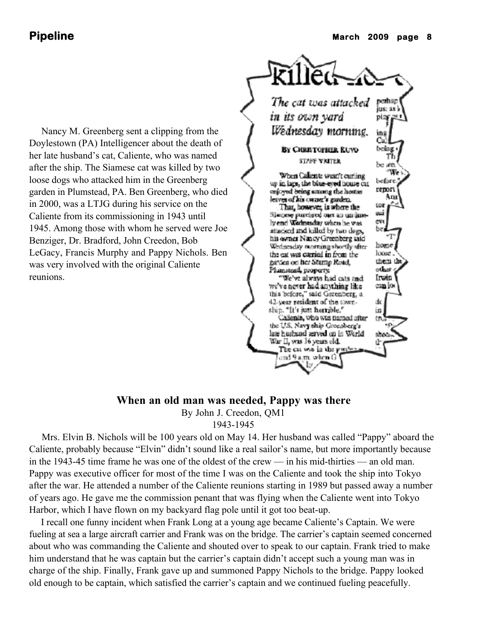Nancy M. Greenberg sent a clipping from the Doylestown (PA) Intelligencer about the death of her late husband's cat, Caliente, who was named after the ship. The Siamese cat was killed by two loose dogs who attacked him in the Greenberg garden in Plumstead, PA. Ben Greenberg, who died in 2000, was a LTJG during his service on the Caliente from its commissioning in 1943 until 1945. Among those with whom he served were Joe Benziger, Dr. Bradford, John Creedon, Bob LeGacy, Francis Murphy and Pappy Nichols. Ben was very involved with the original Caliente reunions.



# **When an old man was needed, Pappy was there**

By John J. Creedon, QM1

1943-1945

 Mrs. Elvin B. Nichols will be 100 years old on May 14. Her husband was called "Pappy" aboard the Caliente, probably because "Elvin" didn't sound like a real sailor's name, but more importantly because in the 1943-45 time frame he was one of the oldest of the crew — in his mid-thirties — an old man. Pappy was executive officer for most of the time I was on the Caliente and took the ship into Tokyo after the war. He attended a number of the Caliente reunions starting in 1989 but passed away a number of years ago. He gave me the commission penant that was flying when the Caliente went into Tokyo Harbor, which I have flown on my backyard flag pole until it got too beat-up.

 I recall one funny incident when Frank Long at a young age became Caliente's Captain. We were fueling at sea a large aircraft carrier and Frank was on the bridge. The carrier's captain seemed concerned about who was commanding the Caliente and shouted over to speak to our captain. Frank tried to make him understand that he was captain but the carrier's captain didn't accept such a young man was in charge of the ship. Finally, Frank gave up and summoned Pappy Nichols to the bridge. Pappy looked old enough to be captain, which satisfied the carrier's captain and we continued fueling peacefully.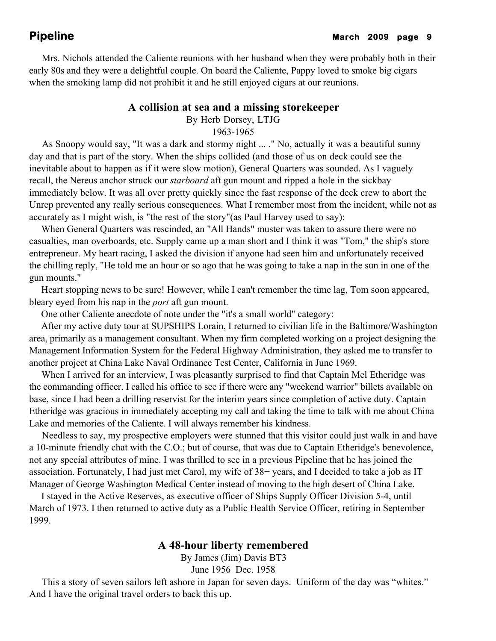Mrs. Nichols attended the Caliente reunions with her husband when they were probably both in their early 80s and they were a delightful couple. On board the Caliente, Pappy loved to smoke big cigars when the smoking lamp did not prohibit it and he still enjoyed cigars at our reunions.

## **A collision at sea and a missing storekeeper**

By Herb Dorsey, LTJG

1963-1965

 As Snoopy would say, "It was a dark and stormy night ... ." No, actually it was a beautiful sunny day and that is part of the story. When the ships collided (and those of us on deck could see the inevitable about to happen as if it were slow motion), General Quarters was sounded. As I vaguely recall, the Nereus anchor struck our *starboard* aft gun mount and ripped a hole in the sickbay immediately below. It was all over pretty quickly since the fast response of the deck crew to abort the Unrep prevented any really serious consequences. What I remember most from the incident, while not as accurately as I might wish, is "the rest of the story"(as Paul Harvey used to say):

 When General Quarters was rescinded, an "All Hands" muster was taken to assure there were no casualties, man overboards, etc. Supply came up a man short and I think it was "Tom," the ship's store entrepreneur. My heart racing, I asked the division if anyone had seen him and unfortunately received the chilling reply, "He told me an hour or so ago that he was going to take a nap in the sun in one of the gun mounts."

 Heart stopping news to be sure! However, while I can't remember the time lag, Tom soon appeared, bleary eyed from his nap in the *port* aft gun mount.

One other Caliente anecdote of note under the "it's a small world" category:

 After my active duty tour at SUPSHIPS Lorain, I returned to civilian life in the Baltimore/Washington area, primarily as a management consultant. When my firm completed working on a project designing the Management Information System for the Federal Highway Administration, they asked me to transfer to another project at China Lake Naval Ordinance Test Center, California in June 1969.

When I arrived for an interview, I was pleasantly surprised to find that Captain Mel Etheridge was the commanding officer. I called his office to see if there were any "weekend warrior" billets available on base, since I had been a drilling reservist for the interim years since completion of active duty. Captain Etheridge was gracious in immediately accepting my call and taking the time to talk with me about China Lake and memories of the Caliente. I will always remember his kindness.

 Needless to say, my prospective employers were stunned that this visitor could just walk in and have a 10-minute friendly chat with the C.O.; but of course, that was due to Captain Etheridge's benevolence, not any special attributes of mine. I was thrilled to see in a previous Pipeline that he has joined the association. Fortunately, I had just met Carol, my wife of 38+ years, and I decided to take a job as IT Manager of George Washington Medical Center instead of moving to the high desert of China Lake.

 I stayed in the Active Reserves, as executive officer of Ships Supply Officer Division 5-4, until March of 1973. I then returned to active duty as a Public Health Service Officer, retiring in September 1999.

## **A 48-hour liberty remembered**

By James (Jim) Davis BT3

June 1956 Dec. 1958

 This a story of seven sailors left ashore in Japan for seven days. Uniform of the day was "whites." And I have the original travel orders to back this up.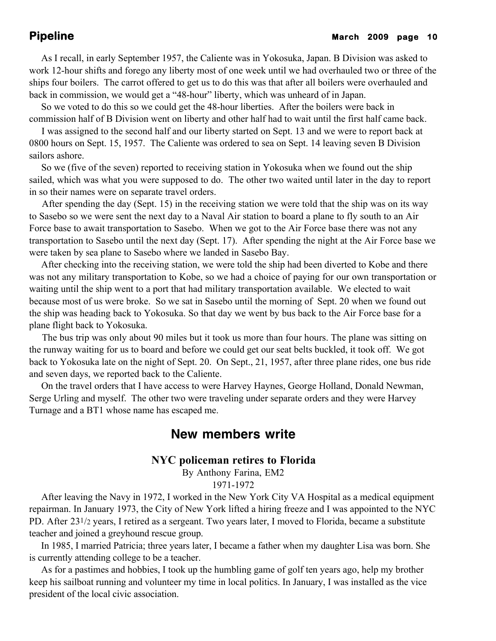As I recall, in early September 1957, the Caliente was in Yokosuka, Japan. B Division was asked to work 12-hour shifts and forego any liberty most of one week until we had overhauled two or three of the ships four boilers. The carrot offered to get us to do this was that after all boilers were overhauled and back in commission, we would get a "48-hour" liberty, which was unheard of in Japan.

 So we voted to do this so we could get the 48-hour liberties. After the boilers were back in commission half of B Division went on liberty and other half had to wait until the first half came back.

 I was assigned to the second half and our liberty started on Sept. 13 and we were to report back at 0800 hours on Sept. 15, 1957. The Caliente was ordered to sea on Sept. 14 leaving seven B Division sailors ashore.

 So we (five of the seven) reported to receiving station in Yokosuka when we found out the ship sailed, which was what you were supposed to do. The other two waited until later in the day to report in so their names were on separate travel orders.

 After spending the day (Sept. 15) in the receiving station we were told that the ship was on its way to Sasebo so we were sent the next day to a Naval Air station to board a plane to fly south to an Air Force base to await transportation to Sasebo. When we got to the Air Force base there was not any transportation to Sasebo until the next day (Sept. 17). After spending the night at the Air Force base we were taken by sea plane to Sasebo where we landed in Sasebo Bay.

 After checking into the receiving station, we were told the ship had been diverted to Kobe and there was not any military transportation to Kobe, so we had a choice of paying for our own transportation or waiting until the ship went to a port that had military transportation available. We elected to wait because most of us were broke. So we sat in Sasebo until the morning of Sept. 20 when we found out the ship was heading back to Yokosuka. So that day we went by bus back to the Air Force base for a plane flight back to Yokosuka.

 The bus trip was only about 90 miles but it took us more than four hours. The plane was sitting on the runway waiting for us to board and before we could get our seat belts buckled, it took off. We got back to Yokosuka late on the night of Sept. 20. On Sept., 21, 1957, after three plane rides, one bus ride and seven days, we reported back to the Caliente.

 On the travel orders that I have access to were Harvey Haynes, George Holland, Donald Newman, Serge Urling and myself. The other two were traveling under separate orders and they were Harvey Turnage and a BT1 whose name has escaped me.

# **New members write**

# **NYC policeman retires to Florida**

By Anthony Farina, EM2 1971-1972

 After leaving the Navy in 1972, I worked in the New York City VA Hospital as a medical equipment repairman. In January 1973, the City of New York lifted a hiring freeze and I was appointed to the NYC PD. After 231/2 years, I retired as a sergeant. Two years later, I moved to Florida, became a substitute teacher and joined a greyhound rescue group.

 In 1985, I married Patricia; three years later, I became a father when my daughter Lisa was born. She is currently attending college to be a teacher.

 As for a pastimes and hobbies, I took up the humbling game of golf ten years ago, help my brother keep his sailboat running and volunteer my time in local politics. In January, I was installed as the vice president of the local civic association.